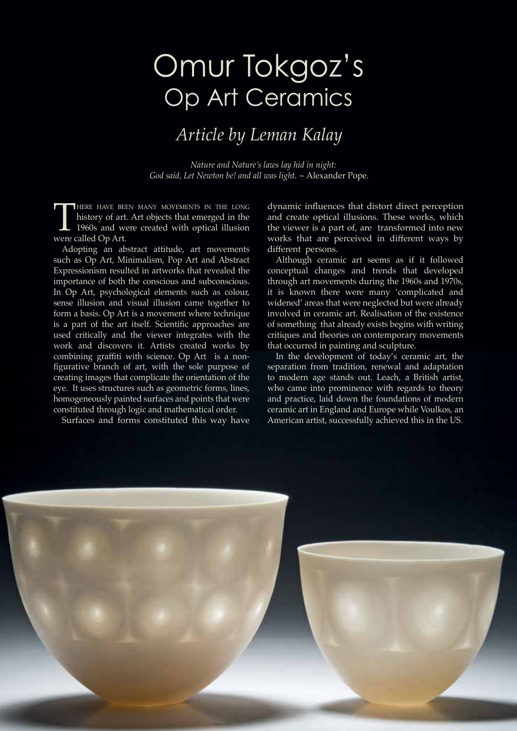## Omur Tokgoz's Op Art Ceramics

## *Article by Leman Kalay*

*Nature and Nature's laws lay hid in night: God said, Let Newton be! and all was light. ~* Alexander Pope.

THERE HAVE BEEN MANY MOVEMENTS IN THE LONG<br>history of art. Art objects that emerged in the<br>1960s and were created with optical illusion<br>were called Op Art. history of art. Art objects that emerged in the 1960s and were created with optical illusion were called Op Art.

Adopting an abstract attitude, art movements such as Op Art, Minimalism, Pop Art and Abstract Expressionism resulted in artworks that revealed the importance of both the conscious and subconscious. In Op Art, psychological elements such as colour, sense illusion and visual illusion came together to form a basis. Op Art is a movement where technique is a part of the art itself. Scientific approaches are used critically and the viewer integrates with the work and discovers it. Artists created works by combining graffiti with science. Op Art is a nonfigurative branch of art, with the sole purpose of creating images that complicate the orientation of the eye. It uses structures such as geometric forms, lines, homogeneously painted surfaces and points that were constituted through logic and mathematical order.

Surfaces and forms constituted this way have

dynamic influences that distort direct perception and create optical illusions. These works, which the viewer is a part of, are transformed into new works that are perceived in different ways by different persons.

Although ceramic art seems as if it followed conceptual changes and trends that developed through art movements during the 1960s and 1970s, it is known there were many 'complicated and widened' areas that were neglected but were already involved in ceramic art. Realisation of the existence of something that already exists begins with writing critiques and theories on contemporary movements that occurred in painting and sculpture.

In the development of today's ceramic art, the separation from tradition, renewal and adaptation to modern age stands out. Leach, a British artist, who came into prominence with regards to theory and practice, laid down the foundations of modern ceramic art in England and Europe while Voulkos, an American artist, successfully achieved this in the US.

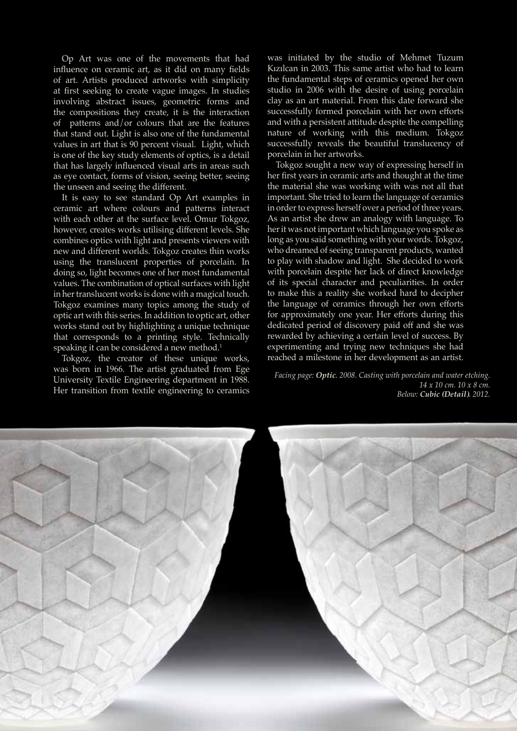Op Art was one of the movements that had influence on ceramic art, as it did on many fields of art. Artists produced artworks with simplicity at first seeking to create vague images. In studies involving abstract issues, geometric forms and the compositions they create, it is the interaction of patterns and/or colours that are the features that stand out. Light is also one of the fundamental values in art that is 90 percent visual. Light, which is one of the key study elements of optics, is a detail that has largely influenced visual arts in areas such as eye contact, forms of vision, seeing better, seeing the unseen and seeing the different.

It is easy to see standard Op Art examples in ceramic art where colours and patterns interact with each other at the surface level. Omur Tokgoz, however, creates works utilising different levels. She combines optics with light and presents viewers with new and different worlds. Tokgoz creates thin works using the translucent properties of porcelain. In doing so, light becomes one of her most fundamental values. The combination of optical surfaces with light in her translucent works is done with a magical touch. Tokgoz examines many topics among the study of optic art with this series. In addition to optic art, other works stand out by highlighting a unique technique that corresponds to a printing style. Technically speaking it can be considered a new method.<sup>1</sup>

Tokgoz, the creator of these unique works, was born in 1966. The artist graduated from Ege University Textile Engineering department in 1988. Her transition from textile engineering to ceramics

was initiated by the studio of Mehmet Tuzum Kızılcan in 2003. This same artist who had to learn the fundamental steps of ceramics opened her own studio in 2006 with the desire of using porcelain clay as an art material. From this date forward she successfully formed porcelain with her own efforts and with a persistent attitude despite the compelling nature of working with this medium. Tokgoz successfully reveals the beautiful translucency of porcelain in her artworks.

Tokgoz sought a new way of expressing herself in her first years in ceramic arts and thought at the time the material she was working with was not all that important. She tried to learn the language of ceramics in order to express herself over a period of three years. As an artist she drew an analogy with language. To her it was not important which language you spoke as long as you said something with your words. Tokgoz, who dreamed of seeing transparent products, wanted to play with shadow and light. She decided to work with porcelain despite her lack of direct knowledge of its special character and peculiarities. In order to make this a reality she worked hard to decipher the language of ceramics through her own efforts for approximately one year. Her efforts during this dedicated period of discovery paid off and she was rewarded by achieving a certain level of success. By experimenting and trying new techniques she had reached a milestone in her development as an artist.

*Facing page: Optic. 2008. Casting with porcelain and water etching. 14 x 10 cm. 10 x 8 cm. Below: Cubic (Detail). 2012.* 

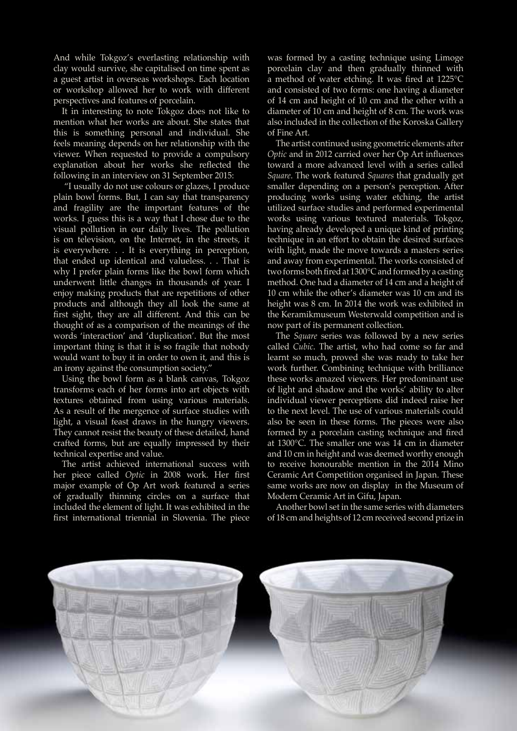And while Tokgoz's everlasting relationship with clay would survive, she capitalised on time spent as a guest artist in overseas workshops. Each location or workshop allowed her to work with different perspectives and features of porcelain.

It in interesting to note Tokgoz does not like to mention what her works are about. She states that this is something personal and individual. She feels meaning depends on her relationship with the viewer. When requested to provide a compulsory explanation about her works she reflected the following in an interview on 31 September 2015:

 "I usually do not use colours or glazes, I produce plain bowl forms. But, I can say that transparency and fragility are the important features of the works. I guess this is a way that I chose due to the visual pollution in our daily lives. The pollution is on television, on the Internet, in the streets, it is everywhere. . . It is everything in perception, that ended up identical and valueless. . . That is why I prefer plain forms like the bowl form which underwent little changes in thousands of year. I enjoy making products that are repetitions of other products and although they all look the same at first sight, they are all different. And this can be thought of as a comparison of the meanings of the words 'interaction' and 'duplication'. But the most important thing is that it is so fragile that nobody would want to buy it in order to own it, and this is an irony against the consumption society."

Using the bowl form as a blank canvas, Tokgoz transforms each of her forms into art objects with textures obtained from using various materials. As a result of the mergence of surface studies with light, a visual feast draws in the hungry viewers. They cannot resist the beauty of these detailed, hand crafted forms, but are equally impressed by their technical expertise and value.

The artist achieved international success with her piece called *Optic* in 2008 work. Her first major example of Op Art work featured a series of gradually thinning circles on a surface that included the element of light. It was exhibited in the first international triennial in Slovenia. The piece

was formed by a casting technique using Limoge porcelain clay and then gradually thinned with a method of water etching. It was fired at 1225°C and consisted of two forms: one having a diameter of 14 cm and height of 10 cm and the other with a diameter of 10 cm and height of 8 cm. The work was also included in the collection of the Koroska Gallery of Fine Art.

The artist continued using geometric elements after *Optic* and in 2012 carried over her Op Art influences toward a more advanced level with a series called *Square*. The work featured *Squares* that gradually get smaller depending on a person's perception. After producing works using water etching, the artist utilized surface studies and performed experimental works using various textured materials. Tokgoz, having already developed a unique kind of printing technique in an effort to obtain the desired surfaces with light, made the move towards a masters series and away from experimental. The works consisted of two forms both fired at 1300°C and formed by a casting method. One had a diameter of 14 cm and a height of 10 cm while the other's diameter was 10 cm and its height was 8 cm. In 2014 the work was exhibited in the Keramikmuseum Westerwald competition and is now part of its permanent collection.

The *Square* series was followed by a new series called *Cubic*. The artist, who had come so far and learnt so much, proved she was ready to take her work further. Combining technique with brilliance these works amazed viewers. Her predominant use of light and shadow and the works' ability to alter individual viewer perceptions did indeed raise her to the next level. The use of various materials could also be seen in these forms. The pieces were also formed by a porcelain casting technique and fired at 1300°C. The smaller one was 14 cm in diameter and 10 cm in height and was deemed worthy enough to receive honourable mention in the 2014 Mino Ceramic Art Competition organised in Japan. These same works are now on display in the Museum of Modern Ceramic Art in Gifu, Japan.

Another bowl set in the same series with diameters of 18 cm and heights of 12 cm received second prize in

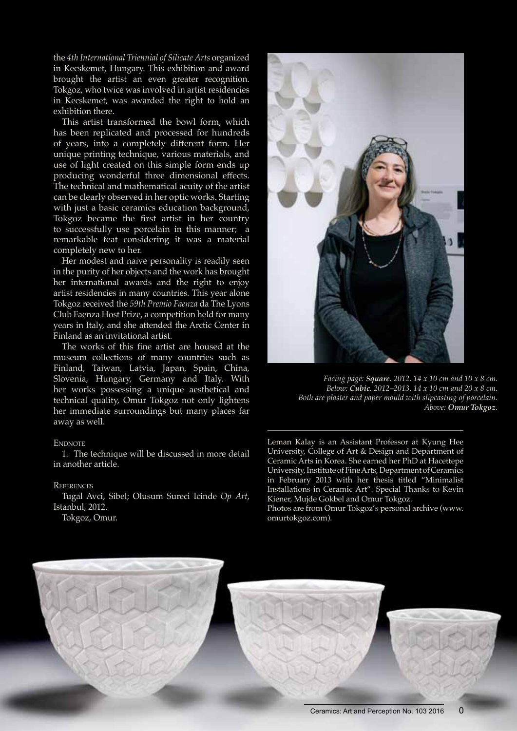the *4th International Triennial of Silicate Arts* organized in Kecskemet, Hungary. This exhibition and award brought the artist an even greater recognition. Tokgoz, who twice was involved in artist residencies in Kecskemet, was awarded the right to hold an exhibition there.

This artist transformed the bowl form, which has been replicated and processed for hundreds of years, into a completely different form. Her unique printing technique, various materials, and use of light created on this simple form ends up producing wonderful three dimensional effects. The technical and mathematical acuity of the artist can be clearly observed in her optic works. Starting with just a basic ceramics education background, Tokgoz became the first artist in her country to successfully use porcelain in this manner; a remarkable feat considering it was a material completely new to her.

Her modest and naive personality is readily seen in the purity of her objects and the work has brought her international awards and the right to enjoy artist residencies in many countries. This year alone Tokgoz received the *59th Premio Faenza* da The Lyons Club Faenza Host Prize, a competition held for many years in Italy, and she attended the Arctic Center in Finland as an invitational artist.

The works of this fine artist are housed at the museum collections of many countries such as Finland, Taiwan, Latvia, Japan, Spain, China, Slovenia, Hungary, Germany and Italy. With her works possessing a unique aesthetical and technical quality, Omur Tokgoz not only lightens her immediate surroundings but many places far away as well.

## **ENDNOTE**

1. The technique will be discussed in more detail in another article.

## **REFERENCES**

Tugal Avci, Sibel; Olusum Sureci Icinde *Op Art*, Istanbul, 2012.

Tokgoz, Omur.



*Facing page: Square. 2012. 14 x 10 cm and 10 x 8 cm. Below: Cubic. 2012–2013. 14 x 10 cm and 20 x 8 cm. Both are plaster and paper mould with slipcasting of porcelain. Above: Omur Tokgoz.*

Leman Kalay is an Assistant Professor at Kyung Hee University, College of Art & Design and Department of Ceramic Arts in Korea. She earned her PhD at Hacettepe University, Institute of Fine Arts, Department of Ceramics in February 2013 with her thesis titled "Minimalist Installations in Ceramic Art". Special Thanks to Kevin Kiener, Mujde Gokbel and Omur Tokgoz.

Photos are from Omur Tokgoz's personal archive (www. omurtokgoz.com).